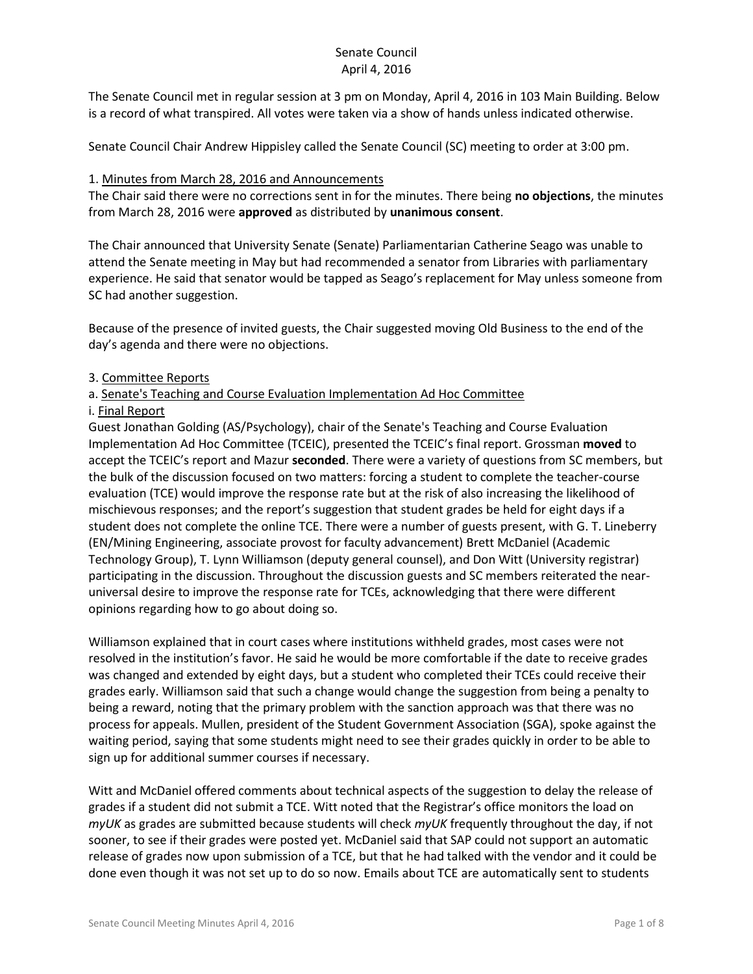The Senate Council met in regular session at 3 pm on Monday, April 4, 2016 in 103 Main Building. Below is a record of what transpired. All votes were taken via a show of hands unless indicated otherwise.

Senate Council Chair Andrew Hippisley called the Senate Council (SC) meeting to order at 3:00 pm.

### 1. Minutes from March 28, 2016 and Announcements

The Chair said there were no corrections sent in for the minutes. There being **no objections**, the minutes from March 28, 2016 were **approved** as distributed by **unanimous consent**.

The Chair announced that University Senate (Senate) Parliamentarian Catherine Seago was unable to attend the Senate meeting in May but had recommended a senator from Libraries with parliamentary experience. He said that senator would be tapped as Seago's replacement for May unless someone from SC had another suggestion.

Because of the presence of invited guests, the Chair suggested moving Old Business to the end of the day's agenda and there were no objections.

### 3. Committee Reports

## a. Senate's Teaching and Course Evaluation Implementation Ad Hoc Committee

### i. Final Report

Guest Jonathan Golding (AS/Psychology), chair of the Senate's Teaching and Course Evaluation Implementation Ad Hoc Committee (TCEIC), presented the TCEIC's final report. Grossman **moved** to accept the TCEIC's report and Mazur **seconded**. There were a variety of questions from SC members, but the bulk of the discussion focused on two matters: forcing a student to complete the teacher-course evaluation (TCE) would improve the response rate but at the risk of also increasing the likelihood of mischievous responses; and the report's suggestion that student grades be held for eight days if a student does not complete the online TCE. There were a number of guests present, with G. T. Lineberry (EN/Mining Engineering, associate provost for faculty advancement) Brett McDaniel (Academic Technology Group), T. Lynn Williamson (deputy general counsel), and Don Witt (University registrar) participating in the discussion. Throughout the discussion guests and SC members reiterated the nearuniversal desire to improve the response rate for TCEs, acknowledging that there were different opinions regarding how to go about doing so.

Williamson explained that in court cases where institutions withheld grades, most cases were not resolved in the institution's favor. He said he would be more comfortable if the date to receive grades was changed and extended by eight days, but a student who completed their TCEs could receive their grades early. Williamson said that such a change would change the suggestion from being a penalty to being a reward, noting that the primary problem with the sanction approach was that there was no process for appeals. Mullen, president of the Student Government Association (SGA), spoke against the waiting period, saying that some students might need to see their grades quickly in order to be able to sign up for additional summer courses if necessary.

Witt and McDaniel offered comments about technical aspects of the suggestion to delay the release of grades if a student did not submit a TCE. Witt noted that the Registrar's office monitors the load on *myUK* as grades are submitted because students will check *myUK* frequently throughout the day, if not sooner, to see if their grades were posted yet. McDaniel said that SAP could not support an automatic release of grades now upon submission of a TCE, but that he had talked with the vendor and it could be done even though it was not set up to do so now. Emails about TCE are automatically sent to students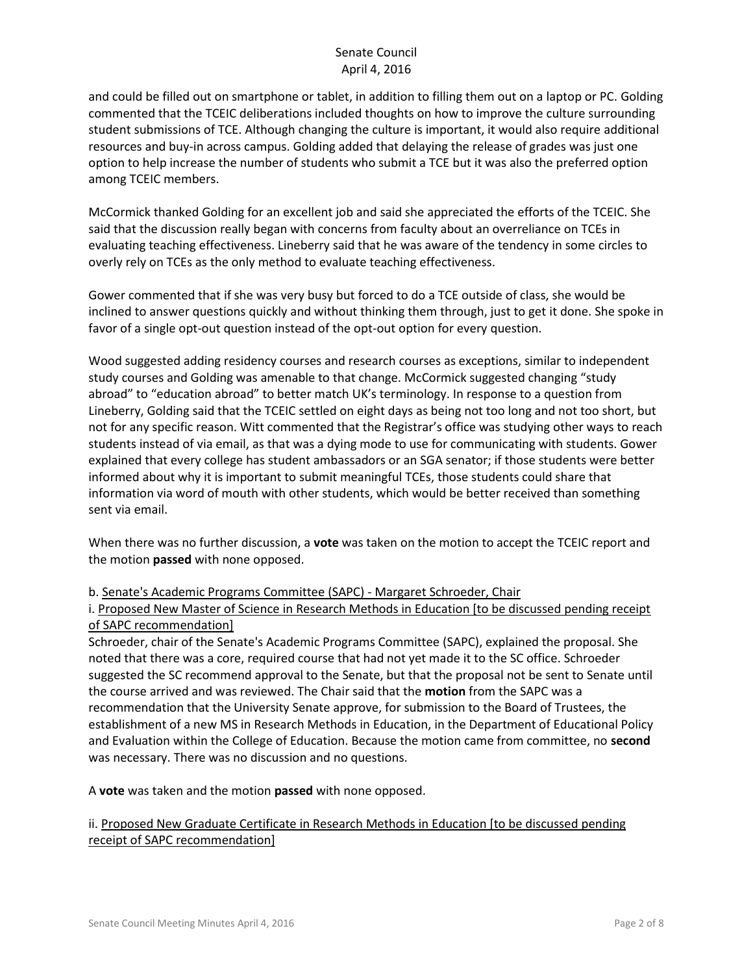and could be filled out on smartphone or tablet, in addition to filling them out on a laptop or PC. Golding commented that the TCEIC deliberations included thoughts on how to improve the culture surrounding student submissions of TCE. Although changing the culture is important, it would also require additional resources and buy-in across campus. Golding added that delaying the release of grades was just one option to help increase the number of students who submit a TCE but it was also the preferred option among TCEIC members.

McCormick thanked Golding for an excellent job and said she appreciated the efforts of the TCEIC. She said that the discussion really began with concerns from faculty about an overreliance on TCEs in evaluating teaching effectiveness. Lineberry said that he was aware of the tendency in some circles to overly rely on TCEs as the only method to evaluate teaching effectiveness.

Gower commented that if she was very busy but forced to do a TCE outside of class, she would be inclined to answer questions quickly and without thinking them through, just to get it done. She spoke in favor of a single opt-out question instead of the opt-out option for every question.

Wood suggested adding residency courses and research courses as exceptions, similar to independent study courses and Golding was amenable to that change. McCormick suggested changing "study abroad" to "education abroad" to better match UK's terminology. In response to a question from Lineberry, Golding said that the TCEIC settled on eight days as being not too long and not too short, but not for any specific reason. Witt commented that the Registrar's office was studying other ways to reach students instead of via email, as that was a dying mode to use for communicating with students. Gower explained that every college has student ambassadors or an SGA senator; if those students were better informed about why it is important to submit meaningful TCEs, those students could share that information via word of mouth with other students, which would be better received than something sent via email.

When there was no further discussion, a **vote** was taken on the motion to accept the TCEIC report and the motion **passed** with none opposed.

### b. Senate's Academic Programs Committee (SAPC) - Margaret Schroeder, Chair

i. Proposed New Master of Science in Research Methods in Education [to be discussed pending receipt of SAPC recommendation]

Schroeder, chair of the Senate's Academic Programs Committee (SAPC), explained the proposal. She noted that there was a core, required course that had not yet made it to the SC office. Schroeder suggested the SC recommend approval to the Senate, but that the proposal not be sent to Senate until the course arrived and was reviewed. The Chair said that the **motion** from the SAPC was a recommendation that the University Senate approve, for submission to the Board of Trustees, the establishment of a new MS in Research Methods in Education, in the Department of Educational Policy and Evaluation within the College of Education. Because the motion came from committee, no **second** was necessary. There was no discussion and no questions.

A **vote** was taken and the motion **passed** with none opposed.

## ii. Proposed New Graduate Certificate in Research Methods in Education [to be discussed pending receipt of SAPC recommendation]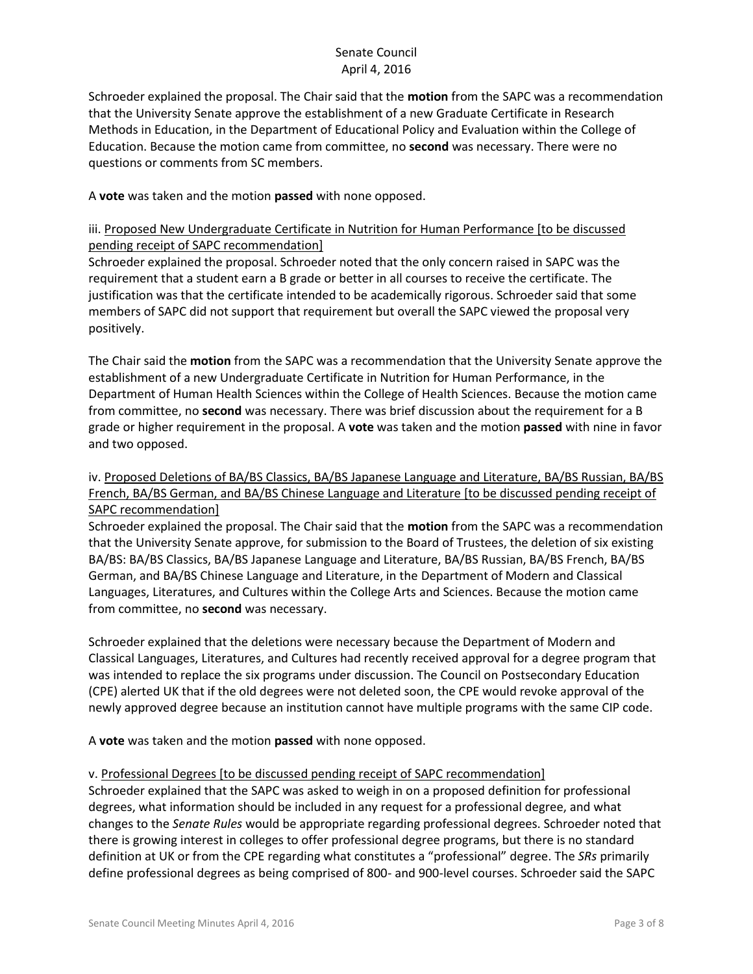Schroeder explained the proposal. The Chair said that the **motion** from the SAPC was a recommendation that the University Senate approve the establishment of a new Graduate Certificate in Research Methods in Education, in the Department of Educational Policy and Evaluation within the College of Education. Because the motion came from committee, no **second** was necessary. There were no questions or comments from SC members.

A **vote** was taken and the motion **passed** with none opposed.

# iii. Proposed New Undergraduate Certificate in Nutrition for Human Performance [to be discussed pending receipt of SAPC recommendation]

Schroeder explained the proposal. Schroeder noted that the only concern raised in SAPC was the requirement that a student earn a B grade or better in all courses to receive the certificate. The justification was that the certificate intended to be academically rigorous. Schroeder said that some members of SAPC did not support that requirement but overall the SAPC viewed the proposal very positively.

The Chair said the **motion** from the SAPC was a recommendation that the University Senate approve the establishment of a new Undergraduate Certificate in Nutrition for Human Performance, in the Department of Human Health Sciences within the College of Health Sciences. Because the motion came from committee, no **second** was necessary. There was brief discussion about the requirement for a B grade or higher requirement in the proposal. A **vote** was taken and the motion **passed** with nine in favor and two opposed.

## iv. Proposed Deletions of BA/BS Classics, BA/BS Japanese Language and Literature, BA/BS Russian, BA/BS French, BA/BS German, and BA/BS Chinese Language and Literature [to be discussed pending receipt of SAPC recommendation]

Schroeder explained the proposal. The Chair said that the **motion** from the SAPC was a recommendation that the University Senate approve, for submission to the Board of Trustees, the deletion of six existing BA/BS: BA/BS Classics, BA/BS Japanese Language and Literature, BA/BS Russian, BA/BS French, BA/BS German, and BA/BS Chinese Language and Literature, in the Department of Modern and Classical Languages, Literatures, and Cultures within the College Arts and Sciences. Because the motion came from committee, no **second** was necessary.

Schroeder explained that the deletions were necessary because the Department of Modern and Classical Languages, Literatures, and Cultures had recently received approval for a degree program that was intended to replace the six programs under discussion. The Council on Postsecondary Education (CPE) alerted UK that if the old degrees were not deleted soon, the CPE would revoke approval of the newly approved degree because an institution cannot have multiple programs with the same CIP code.

A **vote** was taken and the motion **passed** with none opposed.

## v. Professional Degrees [to be discussed pending receipt of SAPC recommendation]

Schroeder explained that the SAPC was asked to weigh in on a proposed definition for professional degrees, what information should be included in any request for a professional degree, and what changes to the *Senate Rules* would be appropriate regarding professional degrees. Schroeder noted that there is growing interest in colleges to offer professional degree programs, but there is no standard definition at UK or from the CPE regarding what constitutes a "professional" degree. The *SRs* primarily define professional degrees as being comprised of 800- and 900-level courses. Schroeder said the SAPC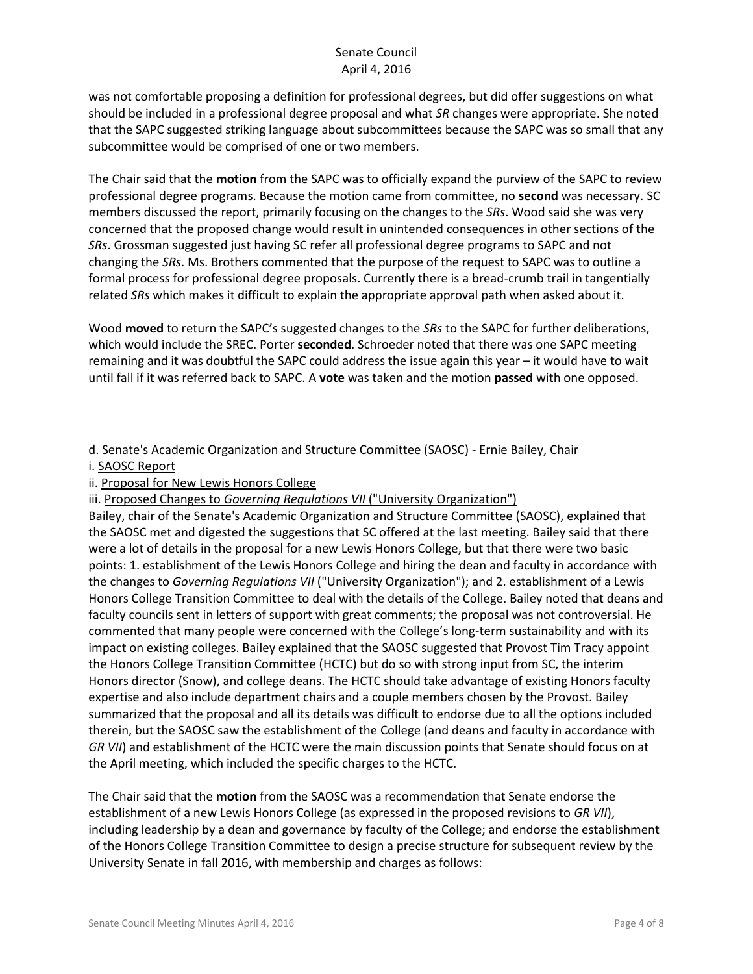was not comfortable proposing a definition for professional degrees, but did offer suggestions on what should be included in a professional degree proposal and what *SR* changes were appropriate. She noted that the SAPC suggested striking language about subcommittees because the SAPC was so small that any subcommittee would be comprised of one or two members.

The Chair said that the **motion** from the SAPC was to officially expand the purview of the SAPC to review professional degree programs. Because the motion came from committee, no **second** was necessary. SC members discussed the report, primarily focusing on the changes to the *SRs*. Wood said she was very concerned that the proposed change would result in unintended consequences in other sections of the *SRs*. Grossman suggested just having SC refer all professional degree programs to SAPC and not changing the *SRs*. Ms. Brothers commented that the purpose of the request to SAPC was to outline a formal process for professional degree proposals. Currently there is a bread-crumb trail in tangentially related *SRs* which makes it difficult to explain the appropriate approval path when asked about it.

Wood **moved** to return the SAPC's suggested changes to the *SRs* to the SAPC for further deliberations, which would include the SREC. Porter **seconded**. Schroeder noted that there was one SAPC meeting remaining and it was doubtful the SAPC could address the issue again this year – it would have to wait until fall if it was referred back to SAPC. A **vote** was taken and the motion **passed** with one opposed.

## d. Senate's Academic Organization and Structure Committee (SAOSC) - Ernie Bailey, Chair

#### i. SAOSC Report

- ii. Proposal for New Lewis Honors College
- iii. Proposed Changes to *Governing Regulations VII* ("University Organization")

Bailey, chair of the Senate's Academic Organization and Structure Committee (SAOSC), explained that the SAOSC met and digested the suggestions that SC offered at the last meeting. Bailey said that there were a lot of details in the proposal for a new Lewis Honors College, but that there were two basic points: 1. establishment of the Lewis Honors College and hiring the dean and faculty in accordance with the changes to *Governing Regulations VII* ("University Organization"); and 2. establishment of a Lewis Honors College Transition Committee to deal with the details of the College. Bailey noted that deans and faculty councils sent in letters of support with great comments; the proposal was not controversial. He commented that many people were concerned with the College's long-term sustainability and with its impact on existing colleges. Bailey explained that the SAOSC suggested that Provost Tim Tracy appoint the Honors College Transition Committee (HCTC) but do so with strong input from SC, the interim Honors director (Snow), and college deans. The HCTC should take advantage of existing Honors faculty expertise and also include department chairs and a couple members chosen by the Provost. Bailey summarized that the proposal and all its details was difficult to endorse due to all the options included therein, but the SAOSC saw the establishment of the College (and deans and faculty in accordance with *GR VII*) and establishment of the HCTC were the main discussion points that Senate should focus on at the April meeting, which included the specific charges to the HCTC.

The Chair said that the **motion** from the SAOSC was a recommendation that Senate endorse the establishment of a new Lewis Honors College (as expressed in the proposed revisions to *GR VII*), including leadership by a dean and governance by faculty of the College; and endorse the establishment of the Honors College Transition Committee to design a precise structure for subsequent review by the University Senate in fall 2016, with membership and charges as follows: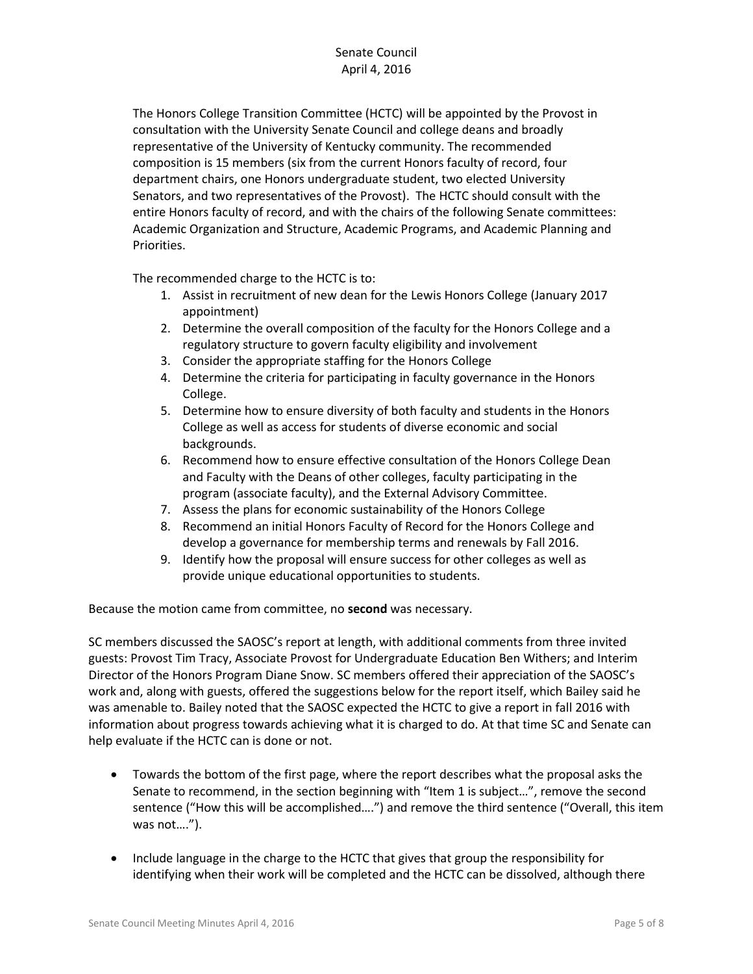The Honors College Transition Committee (HCTC) will be appointed by the Provost in consultation with the University Senate Council and college deans and broadly representative of the University of Kentucky community. The recommended composition is 15 members (six from the current Honors faculty of record, four department chairs, one Honors undergraduate student, two elected University Senators, and two representatives of the Provost). The HCTC should consult with the entire Honors faculty of record, and with the chairs of the following Senate committees: Academic Organization and Structure, Academic Programs, and Academic Planning and Priorities.

The recommended charge to the HCTC is to:

- 1. Assist in recruitment of new dean for the Lewis Honors College (January 2017 appointment)
- 2. Determine the overall composition of the faculty for the Honors College and a regulatory structure to govern faculty eligibility and involvement
- 3. Consider the appropriate staffing for the Honors College
- 4. Determine the criteria for participating in faculty governance in the Honors College.
- 5. Determine how to ensure diversity of both faculty and students in the Honors College as well as access for students of diverse economic and social backgrounds.
- 6. Recommend how to ensure effective consultation of the Honors College Dean and Faculty with the Deans of other colleges, faculty participating in the program (associate faculty), and the External Advisory Committee.
- 7. Assess the plans for economic sustainability of the Honors College
- 8. Recommend an initial Honors Faculty of Record for the Honors College and develop a governance for membership terms and renewals by Fall 2016.
- 9. Identify how the proposal will ensure success for other colleges as well as provide unique educational opportunities to students.

Because the motion came from committee, no **second** was necessary.

SC members discussed the SAOSC's report at length, with additional comments from three invited guests: Provost Tim Tracy, Associate Provost for Undergraduate Education Ben Withers; and Interim Director of the Honors Program Diane Snow. SC members offered their appreciation of the SAOSC's work and, along with guests, offered the suggestions below for the report itself, which Bailey said he was amenable to. Bailey noted that the SAOSC expected the HCTC to give a report in fall 2016 with information about progress towards achieving what it is charged to do. At that time SC and Senate can help evaluate if the HCTC can is done or not.

- Towards the bottom of the first page, where the report describes what the proposal asks the Senate to recommend, in the section beginning with "Item 1 is subject…", remove the second sentence ("How this will be accomplished….") and remove the third sentence ("Overall, this item was not….").
- Include language in the charge to the HCTC that gives that group the responsibility for identifying when their work will be completed and the HCTC can be dissolved, although there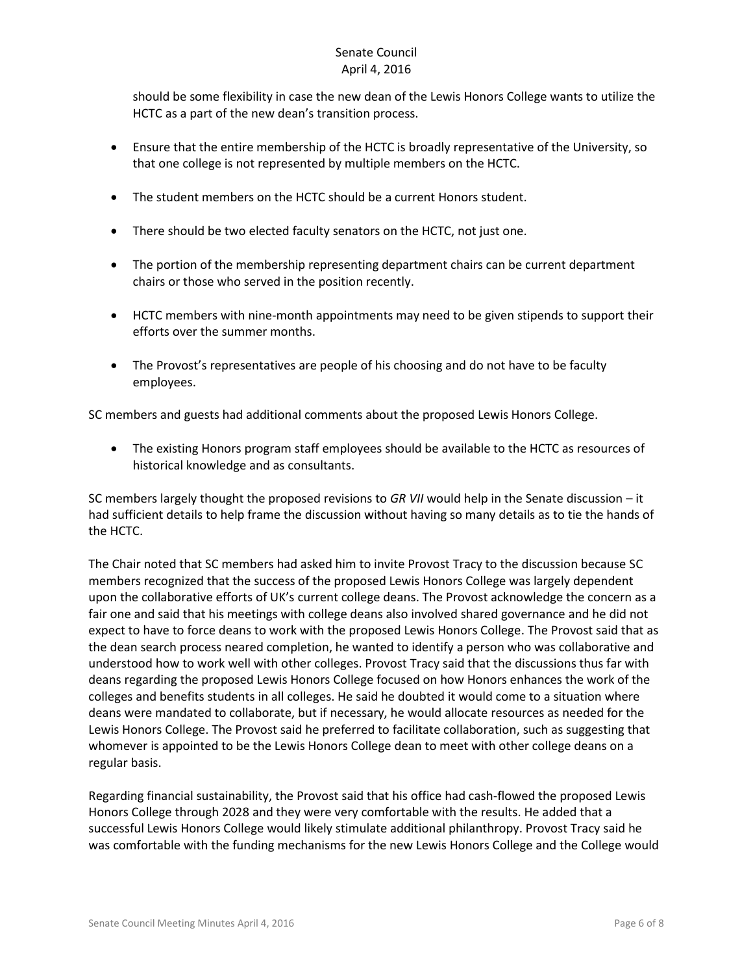should be some flexibility in case the new dean of the Lewis Honors College wants to utilize the HCTC as a part of the new dean's transition process.

- Ensure that the entire membership of the HCTC is broadly representative of the University, so that one college is not represented by multiple members on the HCTC.
- The student members on the HCTC should be a current Honors student.
- There should be two elected faculty senators on the HCTC, not just one.
- The portion of the membership representing department chairs can be current department chairs or those who served in the position recently.
- HCTC members with nine-month appointments may need to be given stipends to support their efforts over the summer months.
- The Provost's representatives are people of his choosing and do not have to be faculty employees.

SC members and guests had additional comments about the proposed Lewis Honors College.

 The existing Honors program staff employees should be available to the HCTC as resources of historical knowledge and as consultants.

SC members largely thought the proposed revisions to *GR VII* would help in the Senate discussion – it had sufficient details to help frame the discussion without having so many details as to tie the hands of the HCTC.

The Chair noted that SC members had asked him to invite Provost Tracy to the discussion because SC members recognized that the success of the proposed Lewis Honors College was largely dependent upon the collaborative efforts of UK's current college deans. The Provost acknowledge the concern as a fair one and said that his meetings with college deans also involved shared governance and he did not expect to have to force deans to work with the proposed Lewis Honors College. The Provost said that as the dean search process neared completion, he wanted to identify a person who was collaborative and understood how to work well with other colleges. Provost Tracy said that the discussions thus far with deans regarding the proposed Lewis Honors College focused on how Honors enhances the work of the colleges and benefits students in all colleges. He said he doubted it would come to a situation where deans were mandated to collaborate, but if necessary, he would allocate resources as needed for the Lewis Honors College. The Provost said he preferred to facilitate collaboration, such as suggesting that whomever is appointed to be the Lewis Honors College dean to meet with other college deans on a regular basis.

Regarding financial sustainability, the Provost said that his office had cash-flowed the proposed Lewis Honors College through 2028 and they were very comfortable with the results. He added that a successful Lewis Honors College would likely stimulate additional philanthropy. Provost Tracy said he was comfortable with the funding mechanisms for the new Lewis Honors College and the College would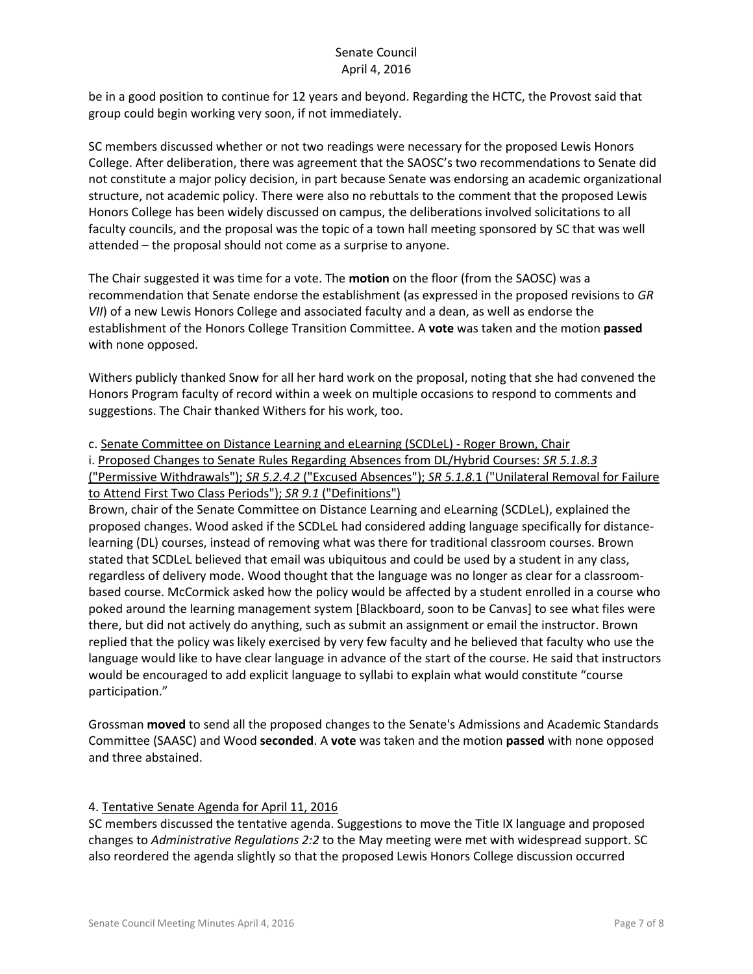be in a good position to continue for 12 years and beyond. Regarding the HCTC, the Provost said that group could begin working very soon, if not immediately.

SC members discussed whether or not two readings were necessary for the proposed Lewis Honors College. After deliberation, there was agreement that the SAOSC's two recommendations to Senate did not constitute a major policy decision, in part because Senate was endorsing an academic organizational structure, not academic policy. There were also no rebuttals to the comment that the proposed Lewis Honors College has been widely discussed on campus, the deliberations involved solicitations to all faculty councils, and the proposal was the topic of a town hall meeting sponsored by SC that was well attended – the proposal should not come as a surprise to anyone.

The Chair suggested it was time for a vote. The **motion** on the floor (from the SAOSC) was a recommendation that Senate endorse the establishment (as expressed in the proposed revisions to *GR VII*) of a new Lewis Honors College and associated faculty and a dean, as well as endorse the establishment of the Honors College Transition Committee. A **vote** was taken and the motion **passed** with none opposed.

Withers publicly thanked Snow for all her hard work on the proposal, noting that she had convened the Honors Program faculty of record within a week on multiple occasions to respond to comments and suggestions. The Chair thanked Withers for his work, too.

c. Senate Committee on Distance Learning and eLearning (SCDLeL) - Roger Brown, Chair

i. Proposed Changes to Senate Rules Regarding Absences from DL/Hybrid Courses: *SR 5.1.8.3* ("Permissive Withdrawals"); *SR 5.2.4.2* ("Excused Absences"); *SR 5.1.8.*1 ("Unilateral Removal for Failure to Attend First Two Class Periods"); *SR 9.1* ("Definitions")

Brown, chair of the Senate Committee on Distance Learning and eLearning (SCDLeL), explained the proposed changes. Wood asked if the SCDLeL had considered adding language specifically for distancelearning (DL) courses, instead of removing what was there for traditional classroom courses. Brown stated that SCDLeL believed that email was ubiquitous and could be used by a student in any class, regardless of delivery mode. Wood thought that the language was no longer as clear for a classroombased course. McCormick asked how the policy would be affected by a student enrolled in a course who poked around the learning management system [Blackboard, soon to be Canvas] to see what files were there, but did not actively do anything, such as submit an assignment or email the instructor. Brown replied that the policy was likely exercised by very few faculty and he believed that faculty who use the language would like to have clear language in advance of the start of the course. He said that instructors would be encouraged to add explicit language to syllabi to explain what would constitute "course participation."

Grossman **moved** to send all the proposed changes to the Senate's Admissions and Academic Standards Committee (SAASC) and Wood **seconded**. A **vote** was taken and the motion **passed** with none opposed and three abstained.

### 4. Tentative Senate Agenda for April 11, 2016

SC members discussed the tentative agenda. Suggestions to move the Title IX language and proposed changes to *Administrative Regulations 2:2* to the May meeting were met with widespread support. SC also reordered the agenda slightly so that the proposed Lewis Honors College discussion occurred